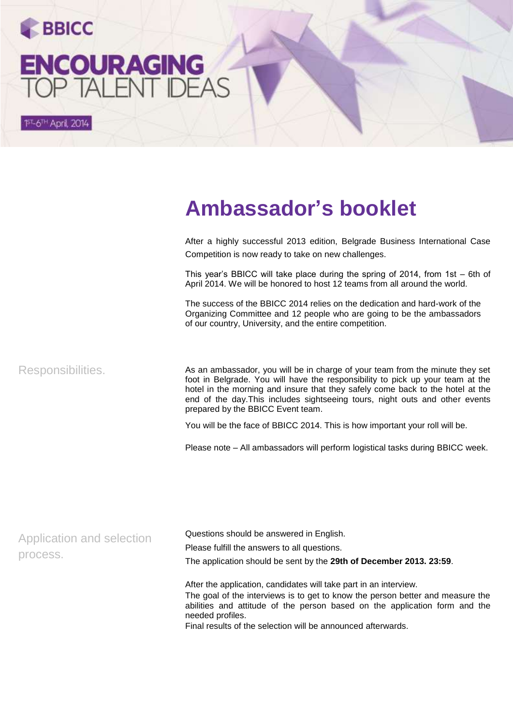## **BBICC ENCOURAGING**<br>TOP TALENT DEAS

**Ambassador's booklet**

After a highly successful 2013 edition, Belgrade Business International Case Competition is now ready to take on new challenges.

This year's BBICC will take place during the spring of 2014, from 1st – 6th of April 2014. We will be honored to host 12 teams from all around the world.

The success of the BBICC 2014 relies on the dedication and hard-work of the [Organizing Committee](https://www.facebook.com/media/set/?set=a.251818991635908.1073741850.127725807378561&type=1) and 12 people who are going to be the ambassadors of our country, University, and the entire competition.

Responsibilities.

15T-6TH April, 2014

As an ambassador, you will be in charge of your team from the minute they set foot in Belgrade. You will have the responsibility to pick up your team at the hotel in the morning and insure that they safely come back to the hotel at the end of the day.This includes sightseeing tours, night outs and other events prepared by the BBICC Event team.

You will be the face of BBICC 2014. This is how important your roll will be.

Please note – All ambassadors will perform logistical tasks during BBICC week.

| Application and selection<br>process. | Questions should be answered in English.<br>Please fulfill the answers to all questions.                                                                                                                                                                                                                              |
|---------------------------------------|-----------------------------------------------------------------------------------------------------------------------------------------------------------------------------------------------------------------------------------------------------------------------------------------------------------------------|
|                                       | The application should be sent by the 29th of December 2013. 23:59.                                                                                                                                                                                                                                                   |
|                                       | After the application, candidates will take part in an interview.<br>The goal of the interviews is to get to know the person better and measure the<br>abilities and attitude of the person based on the application form and the<br>needed profiles.<br>Final results of the selection will be announced afterwards. |